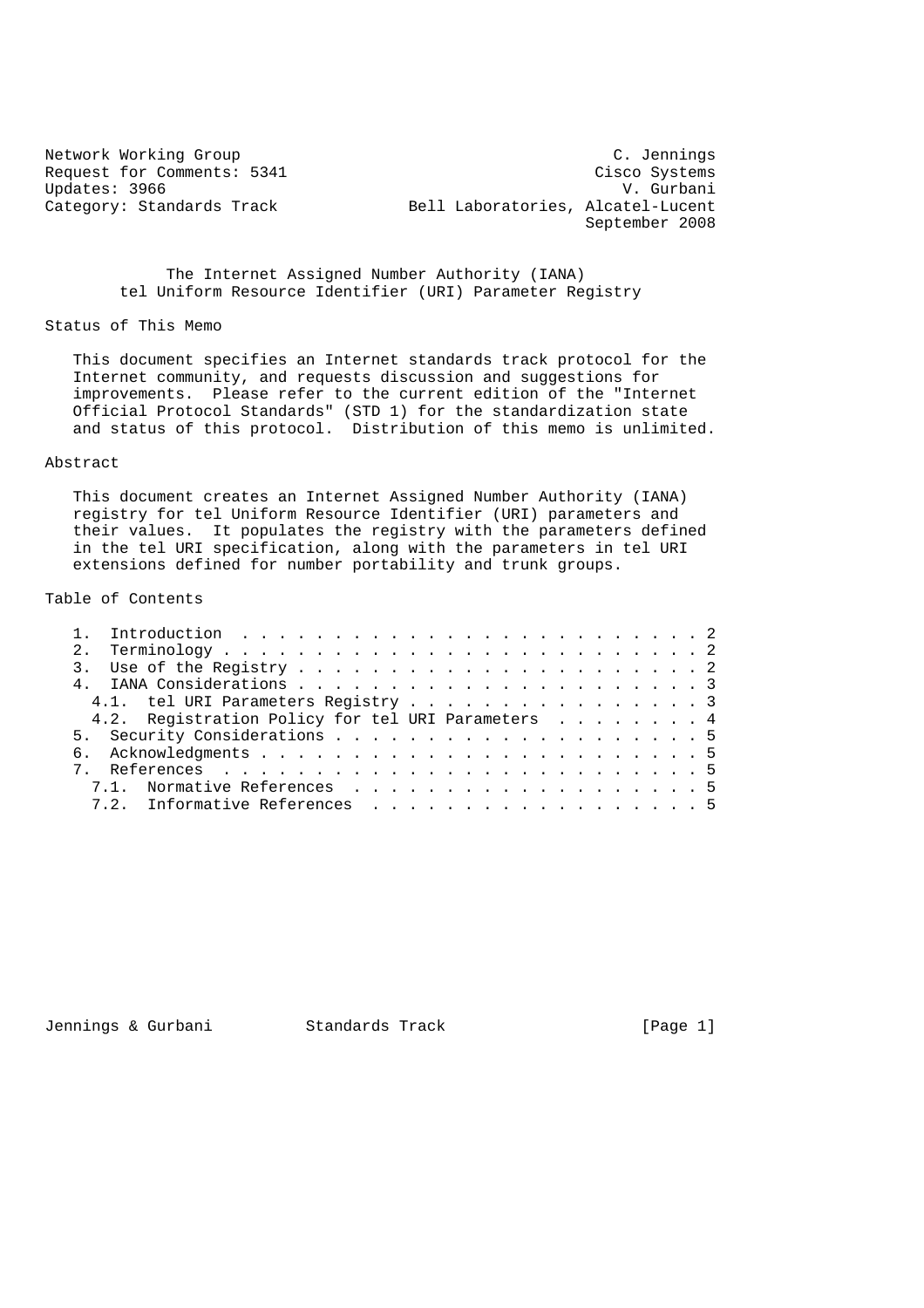Updates: 3966<br>Category: Standards Track

Network Working Group<br>Request for Comments: 5341 Cisco Systems Request for Comments: 5341 Cisco Systems<br>
Updates: 3966 V. Gurbani Bell Laboratories, Alcatel-Lucent September 2008

> The Internet Assigned Number Authority (IANA) tel Uniform Resource Identifier (URI) Parameter Registry

Status of This Memo

 This document specifies an Internet standards track protocol for the Internet community, and requests discussion and suggestions for improvements. Please refer to the current edition of the "Internet Official Protocol Standards" (STD 1) for the standardization state and status of this protocol. Distribution of this memo is unlimited.

### Abstract

 This document creates an Internet Assigned Number Authority (IANA) registry for tel Uniform Resource Identifier (URI) parameters and their values. It populates the registry with the parameters defined in the tel URI specification, along with the parameters in tel URI extensions defined for number portability and trunk groups.

# Table of Contents

|  | 4.1. tel URI Parameters Registry 3                |  |
|--|---------------------------------------------------|--|
|  | 4.2. Registration Policy for tel URI Parameters 4 |  |
|  |                                                   |  |
|  |                                                   |  |
|  |                                                   |  |
|  | 7.1. Normative References 5                       |  |
|  | 7.2. Informative References 5                     |  |

Jennings & Gurbani Standards Track [Page 1]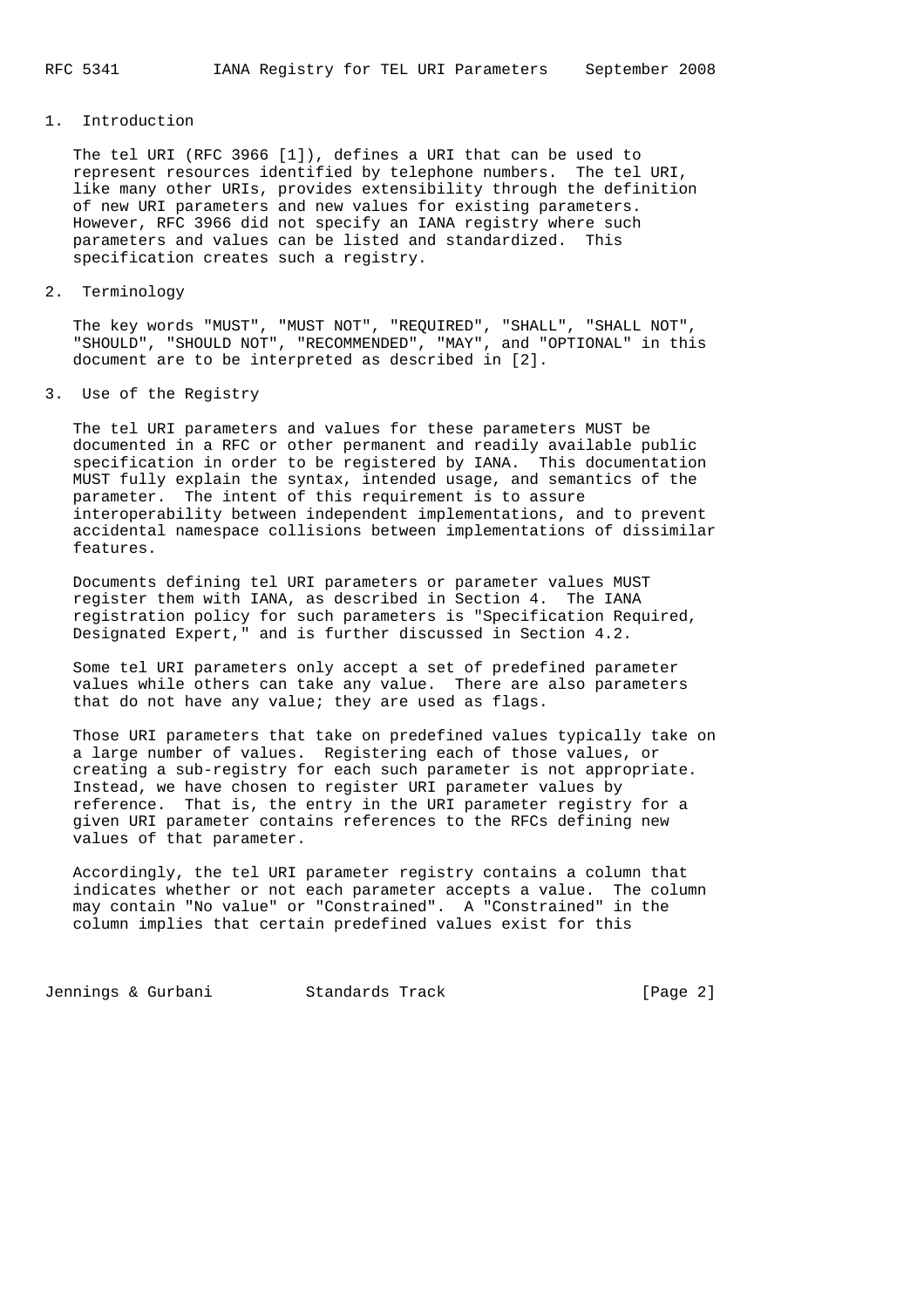## 1. Introduction

 The tel URI (RFC 3966 [1]), defines a URI that can be used to represent resources identified by telephone numbers. The tel URI, like many other URIs, provides extensibility through the definition of new URI parameters and new values for existing parameters. However, RFC 3966 did not specify an IANA registry where such parameters and values can be listed and standardized. This specification creates such a registry.

#### 2. Terminology

 The key words "MUST", "MUST NOT", "REQUIRED", "SHALL", "SHALL NOT", "SHOULD", "SHOULD NOT", "RECOMMENDED", "MAY", and "OPTIONAL" in this document are to be interpreted as described in [2].

### 3. Use of the Registry

 The tel URI parameters and values for these parameters MUST be documented in a RFC or other permanent and readily available public specification in order to be registered by IANA. This documentation MUST fully explain the syntax, intended usage, and semantics of the parameter. The intent of this requirement is to assure interoperability between independent implementations, and to prevent accidental namespace collisions between implementations of dissimilar features.

 Documents defining tel URI parameters or parameter values MUST register them with IANA, as described in Section 4. The IANA registration policy for such parameters is "Specification Required, Designated Expert," and is further discussed in Section 4.2.

 Some tel URI parameters only accept a set of predefined parameter values while others can take any value. There are also parameters that do not have any value; they are used as flags.

 Those URI parameters that take on predefined values typically take on a large number of values. Registering each of those values, or creating a sub-registry for each such parameter is not appropriate. Instead, we have chosen to register URI parameter values by reference. That is, the entry in the URI parameter registry for a given URI parameter contains references to the RFCs defining new values of that parameter.

 Accordingly, the tel URI parameter registry contains a column that indicates whether or not each parameter accepts a value. The column may contain "No value" or "Constrained". A "Constrained" in the column implies that certain predefined values exist for this

Jennings & Gurbani Standards Track [Page 2]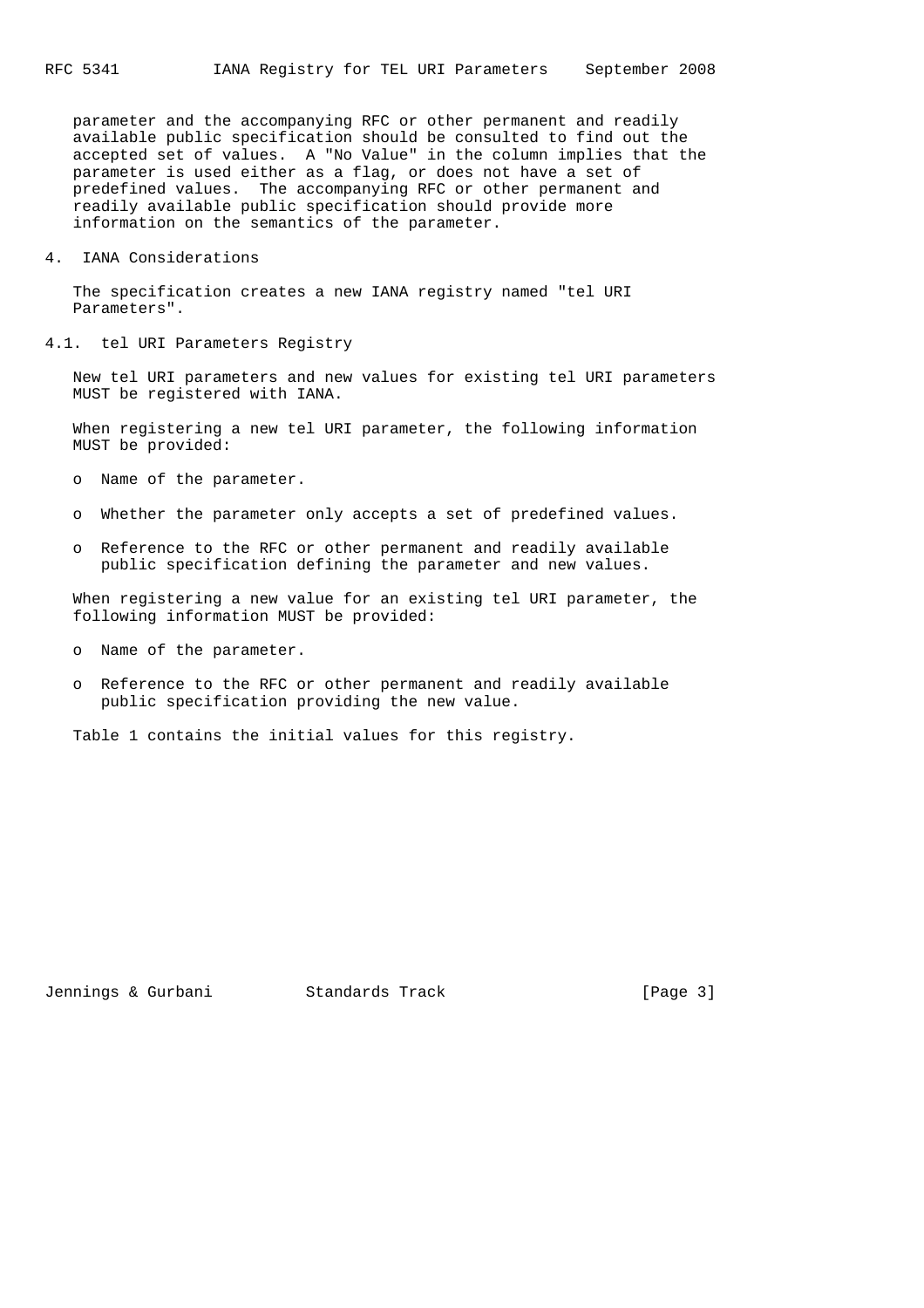parameter and the accompanying RFC or other permanent and readily available public specification should be consulted to find out the accepted set of values. A "No Value" in the column implies that the parameter is used either as a flag, or does not have a set of predefined values. The accompanying RFC or other permanent and readily available public specification should provide more information on the semantics of the parameter.

4. IANA Considerations

 The specification creates a new IANA registry named "tel URI Parameters".

4.1. tel URI Parameters Registry

 New tel URI parameters and new values for existing tel URI parameters MUST be registered with IANA.

 When registering a new tel URI parameter, the following information MUST be provided:

- o Name of the parameter.
- o Whether the parameter only accepts a set of predefined values.
- o Reference to the RFC or other permanent and readily available public specification defining the parameter and new values.

 When registering a new value for an existing tel URI parameter, the following information MUST be provided:

- o Name of the parameter.
- o Reference to the RFC or other permanent and readily available public specification providing the new value.

Table 1 contains the initial values for this registry.

Jennings & Gurbani Standards Track [Page 3]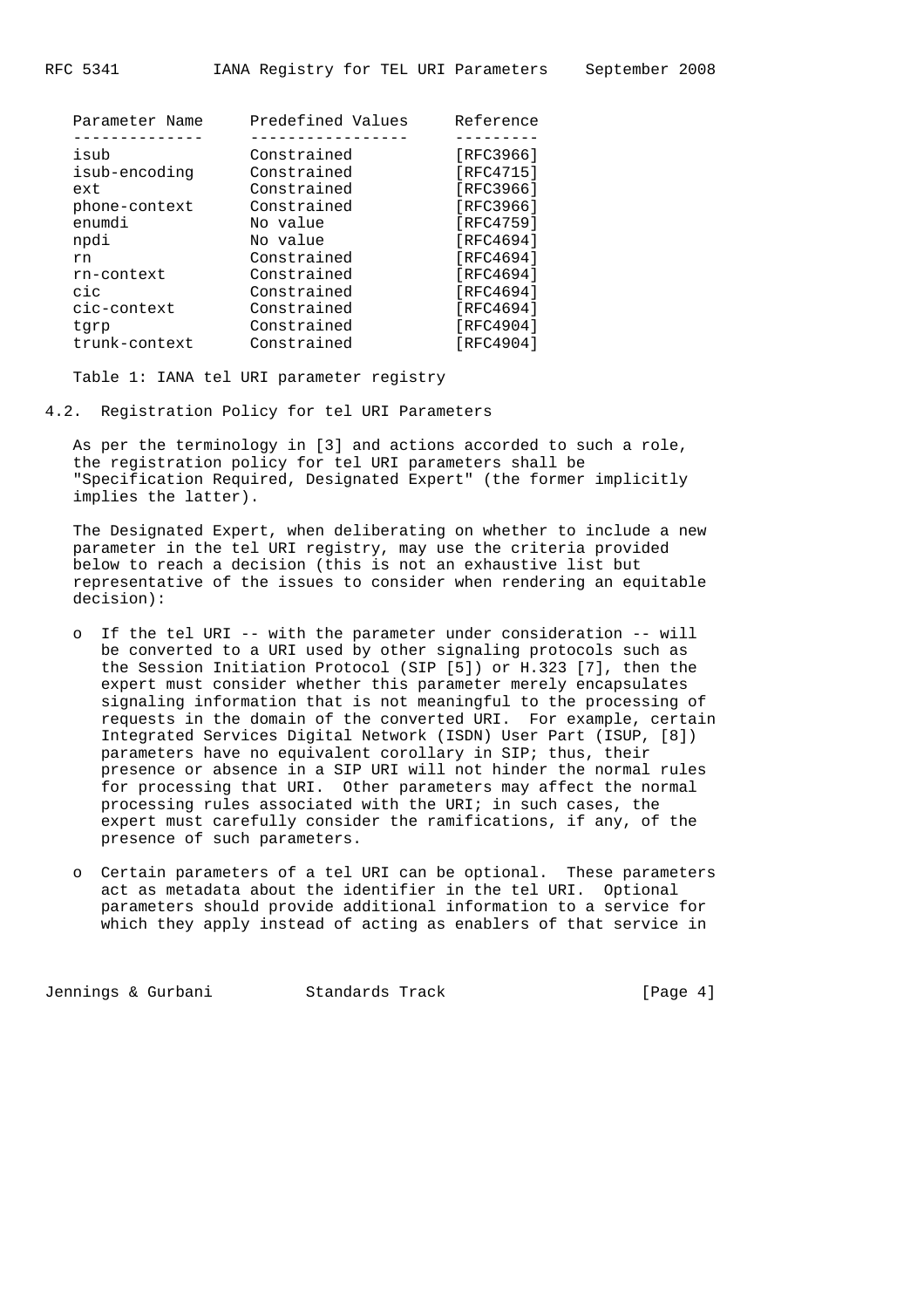| Parameter Name | Predefined Values | Reference |
|----------------|-------------------|-----------|
|                |                   |           |
| isub           | Constrained       | [RFC3966] |
| isub-encoding  | Constrained       | [RFC4715] |
| ext            | Constrained       | [RFC3966] |
| phone-context  | Constrained       | [RFC3966] |
| enumdi         | No value          | [RFC4759] |
| npdi           | No value          | [RFC4694] |
| rn             | Constrained       | [RFC4694] |
| rn-context     | Constrained       | [RFC4694] |
| cic            | Constrained       | [RFC4694] |
| cic-context    | Constrained       | [RFC4694] |
| tgrp           | Constrained       | [RFC4904] |
| trunk-context  | Constrained       | [RFC4904] |

Table 1: IANA tel URI parameter registry

4.2. Registration Policy for tel URI Parameters

 As per the terminology in [3] and actions accorded to such a role, the registration policy for tel URI parameters shall be "Specification Required, Designated Expert" (the former implicitly implies the latter).

 The Designated Expert, when deliberating on whether to include a new parameter in the tel URI registry, may use the criteria provided below to reach a decision (this is not an exhaustive list but representative of the issues to consider when rendering an equitable decision):

- o If the tel URI -- with the parameter under consideration -- will be converted to a URI used by other signaling protocols such as the Session Initiation Protocol (SIP [5]) or H.323 [7], then the expert must consider whether this parameter merely encapsulates signaling information that is not meaningful to the processing of requests in the domain of the converted URI. For example, certain Integrated Services Digital Network (ISDN) User Part (ISUP, [8]) parameters have no equivalent corollary in SIP; thus, their presence or absence in a SIP URI will not hinder the normal rules for processing that URI. Other parameters may affect the normal processing rules associated with the URI; in such cases, the expert must carefully consider the ramifications, if any, of the presence of such parameters.
- o Certain parameters of a tel URI can be optional. These parameters act as metadata about the identifier in the tel URI. Optional parameters should provide additional information to a service for which they apply instead of acting as enablers of that service in

Jennings & Gurbani Standards Track [Page 4]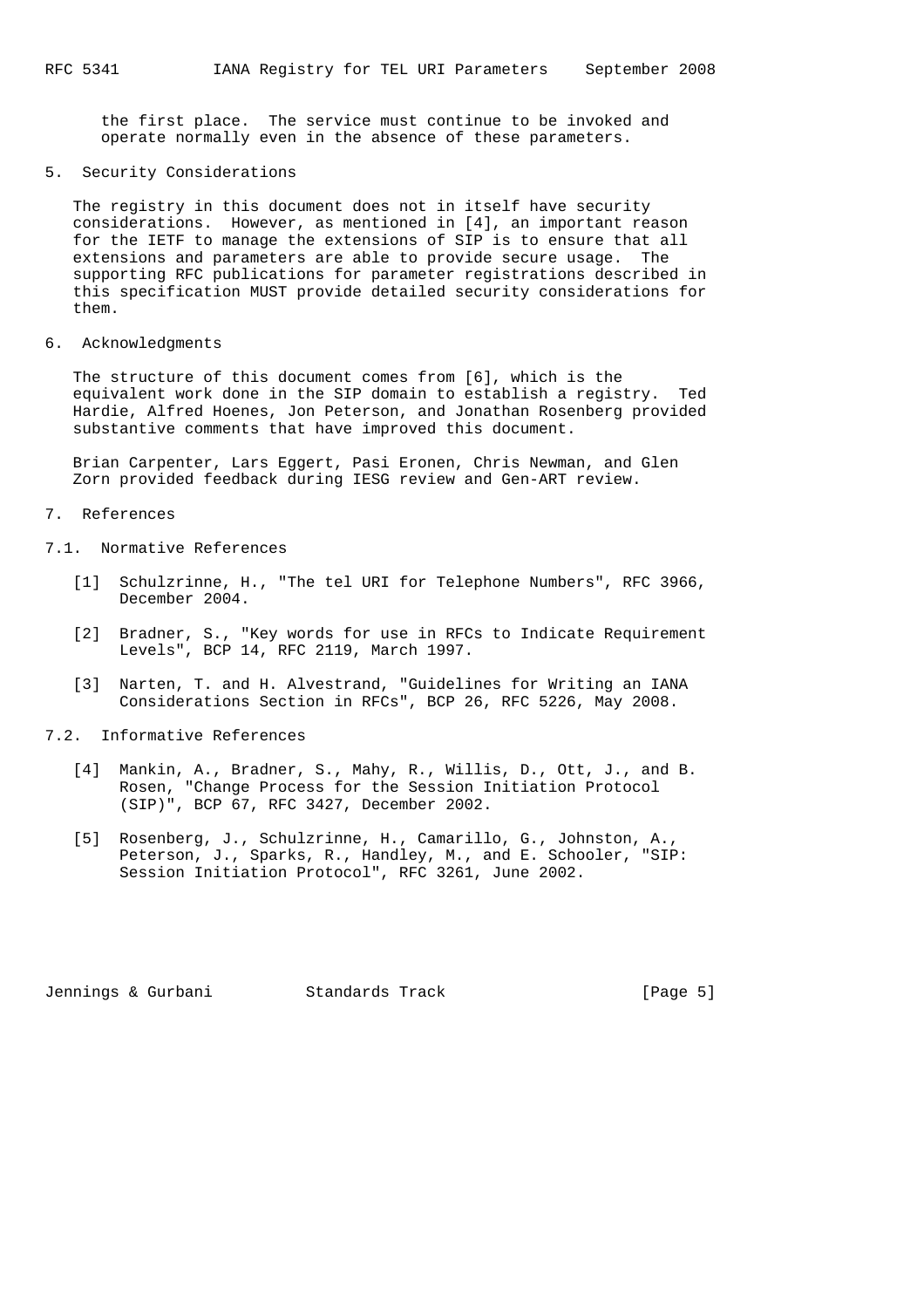the first place. The service must continue to be invoked and operate normally even in the absence of these parameters.

### 5. Security Considerations

 The registry in this document does not in itself have security considerations. However, as mentioned in [4], an important reason for the IETF to manage the extensions of SIP is to ensure that all extensions and parameters are able to provide secure usage. The supporting RFC publications for parameter registrations described in this specification MUST provide detailed security considerations for them.

6. Acknowledgments

 The structure of this document comes from [6], which is the equivalent work done in the SIP domain to establish a registry. Ted Hardie, Alfred Hoenes, Jon Peterson, and Jonathan Rosenberg provided substantive comments that have improved this document.

 Brian Carpenter, Lars Eggert, Pasi Eronen, Chris Newman, and Glen Zorn provided feedback during IESG review and Gen-ART review.

## 7. References

- 7.1. Normative References
	- [1] Schulzrinne, H., "The tel URI for Telephone Numbers", RFC 3966, December 2004.
	- [2] Bradner, S., "Key words for use in RFCs to Indicate Requirement Levels", BCP 14, RFC 2119, March 1997.
	- [3] Narten, T. and H. Alvestrand, "Guidelines for Writing an IANA Considerations Section in RFCs", BCP 26, RFC 5226, May 2008.
- 7.2. Informative References
	- [4] Mankin, A., Bradner, S., Mahy, R., Willis, D., Ott, J., and B. Rosen, "Change Process for the Session Initiation Protocol (SIP)", BCP 67, RFC 3427, December 2002.
	- [5] Rosenberg, J., Schulzrinne, H., Camarillo, G., Johnston, A., Peterson, J., Sparks, R., Handley, M., and E. Schooler, "SIP: Session Initiation Protocol", RFC 3261, June 2002.

Jennings & Gurbani Standards Track [Page 5]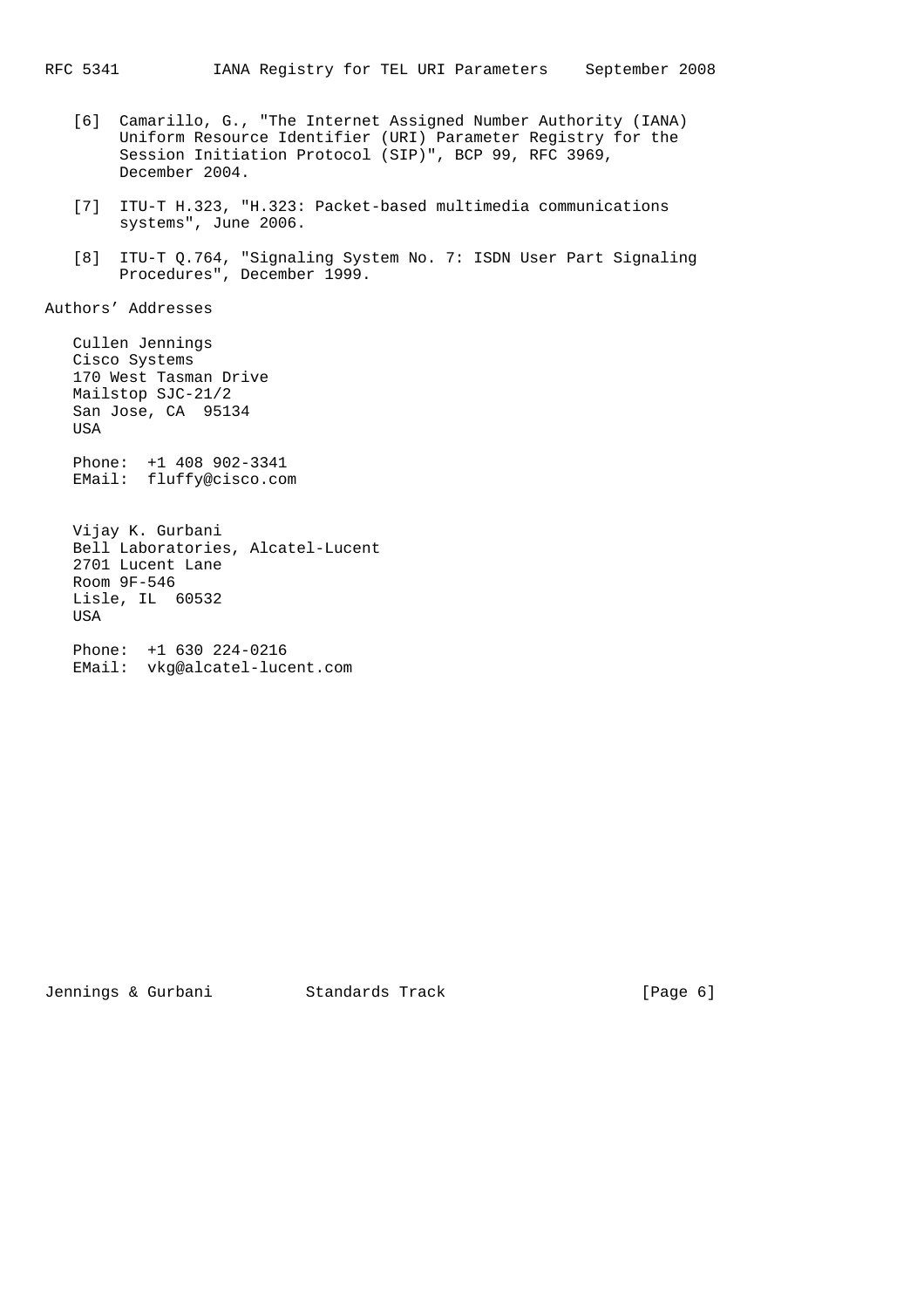- [6] Camarillo, G., "The Internet Assigned Number Authority (IANA) Uniform Resource Identifier (URI) Parameter Registry for the Session Initiation Protocol (SIP)", BCP 99, RFC 3969, December 2004.
- [7] ITU-T H.323, "H.323: Packet-based multimedia communications systems", June 2006.
- [8] ITU-T Q.764, "Signaling System No. 7: ISDN User Part Signaling Procedures", December 1999.

Authors' Addresses

 Cullen Jennings Cisco Systems 170 West Tasman Drive Mailstop SJC-21/2 San Jose, CA 95134 USA

 Phone: +1 408 902-3341 EMail: fluffy@cisco.com

 Vijay K. Gurbani Bell Laboratories, Alcatel-Lucent 2701 Lucent Lane Room 9F-546 Lisle, IL 60532 **USA** 

 Phone: +1 630 224-0216 EMail: vkg@alcatel-lucent.com

Jennings & Gurbani Standards Track [Page 6]